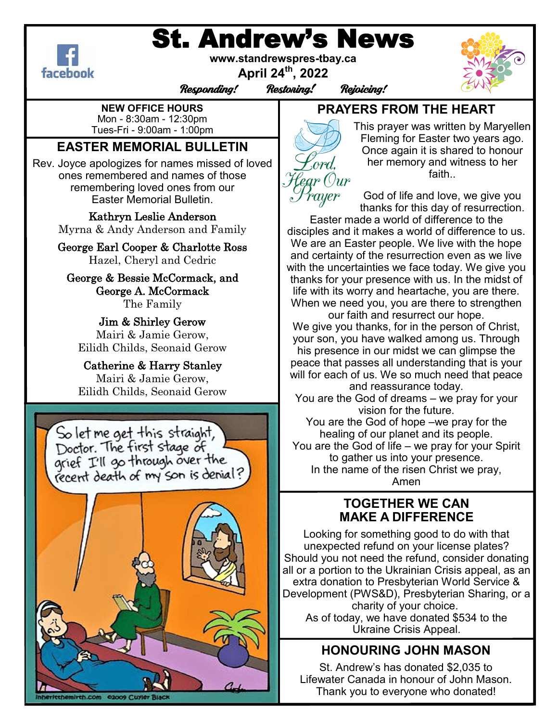# St. Andrew's News



**www.standrewspres-tbay.ca**

**April 24th, 2022**

Responding! Restoring! Rejoicing!



**NEW OFFICE HOURS** Mon - 8:30am - 12:30pm Tues-Fri - 9:00am - 1:00pm

# **EASTER MEMORIAL BULLETIN**

Rev. Joyce apologizes for names missed of loved ones remembered and names of those remembering loved ones from our Easter Memorial Bulletin.

> Kathryn Leslie Anderson Myrna & Andy Anderson and Family

> George Earl Cooper & Charlotte Ross Hazel, Cheryl and Cedric

George & Bessie McCormack, and George A. McCormack The Family

Jim & Shirley Gerow Mairi & Jamie Gerow, Eilidh Childs, Seonaid Gerow

Catherine & Harry Stanley Mairi & Jamie Gerow, Eilidh Childs, Seonaid Gerow



# **PRAYERS FROM THE HEART**



This prayer was written by Maryellen Fleming for Easter two years ago. Once again it is shared to honour her memory and witness to her faith..

God of life and love, we give you thanks for this day of resurrection.

Easter made a world of difference to the disciples and it makes a world of difference to us. We are an Easter people. We live with the hope and certainty of the resurrection even as we live with the uncertainties we face today. We give you thanks for your presence with us. In the midst of life with its worry and heartache, you are there. When we need you, you are there to strengthen

our faith and resurrect our hope. We give you thanks, for in the person of Christ, your son, you have walked among us. Through his presence in our midst we can glimpse the peace that passes all understanding that is your will for each of us. We so much need that peace and reassurance today.

You are the God of dreams – we pray for your vision for the future.

You are the God of hope –we pray for the healing of our planet and its people.

You are the God of life – we pray for your Spirit to gather us into your presence.

In the name of the risen Christ we pray, Amen

## **TOGETHER WE CAN MAKE A DIFFERENCE**

Looking for something good to do with that unexpected refund on your license plates? Should you not need the refund, consider donating all or a portion to the Ukrainian Crisis appeal, as an extra donation to Presbyterian World Service & Development (PWS&D), Presbyterian Sharing, or a charity of your choice. As of today, we have donated \$534 to the Ukraine Crisis Appeal.

# **HONOURING JOHN MASON**

St. Andrew's has donated \$2,035 to Lifewater Canada in honour of John Mason. Thank you to everyone who donated!